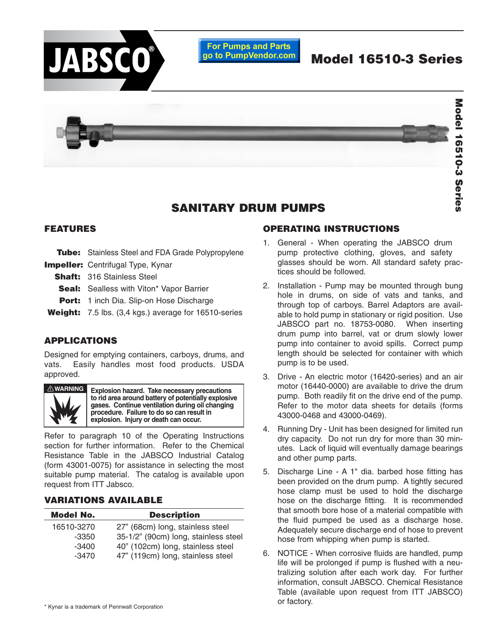

## **SANITARY DRUM PUMPS**

#### **FEATURES**

- **Tube:** Stainless Steel and FDA Grade Polypropylene
- **Impeller:** Centrifugal Type, Kynar
	- **Shaft:** 316 Stainless Steel
	- **Seal:** Sealless with Viton\* Vapor Barrier
	- **Port:** 1 inch Dia. Slip-on Hose Discharge
- **Weight:** 7.5 lbs. (3,4 kgs.) average for 16510-series

## **APPLICATIONS**

Designed for emptying containers, carboys, drums, and vats. Easily handles most food products. USDA approved.



**Explosion hazard. Take necessary precautions to rid area around battery of potentially explosive gases. Continue ventilation during oil changing procedure. Failure to do so can result in explosion. Injury or death can occur.**

Refer to paragraph 10 of the Operating Instructions section for further information. Refer to the Chemical Resistance Table in the JABSCO Industrial Catalog (form 43001-0075) for assistance in selecting the most suitable pump material. The catalog is available upon request from ITT Jabsco.

## **VARIATIONS AVAILABLE**

| <b>Model No.</b> | <b>Description</b>                   |
|------------------|--------------------------------------|
| 16510-3270       | 27" (68cm) long, stainless steel     |
| $-3350$          | 35-1/2" (90cm) long, stainless steel |
| $-3400$          | 40" (102cm) long, stainless steel    |
| $-3470$          | 47" (119cm) long, stainless steel    |
|                  |                                      |

## **OPERATING INSTRUCTIONS**

- 1. General When operating the JABSCO drum pump protective clothing, gloves, and safety glasses should be worn. All standard safety practices should be followed.
- 2. Installation Pump may be mounted through bung hole in drums, on side of vats and tanks, and through top of carboys. Barrel Adaptors are available to hold pump in stationary or rigid position. Use JABSCO part no. 18753-0080. When inserting drum pump into barrel, vat or drum slowly lower pump into container to avoid spills. Correct pump length should be selected for container with which pump is to be used.
- 3. Drive An electric motor (16420-series) and an air motor (16440-0000) are available to drive the drum pump. Both readily fit on the drive end of the pump. Refer to the motor data sheets for details (forms 43000-0468 and 43000-0469).
- 4. Running Dry Unit has been designed for limited run dry capacity. Do not run dry for more than 30 minutes. Lack of liquid will eventually damage bearings and other pump parts.
- 5. Discharge Line A 1" dia. barbed hose fitting has been provided on the drum pump. A tightly secured hose clamp must be used to hold the discharge hose on the discharge fitting. It is recommended that smooth bore hose of a material compatible with the fluid pumped be used as a discharge hose. Adequately secure discharge end of hose to prevent hose from whipping when pump is started.
- 6. NOTICE When corrosive fluids are handled, pump life will be prolonged if pump is flushed with a neutralizing solution after each work day. For further information, consult JABSCO. Chemical Resistance Table (available upon request from ITT JABSCO) or factory.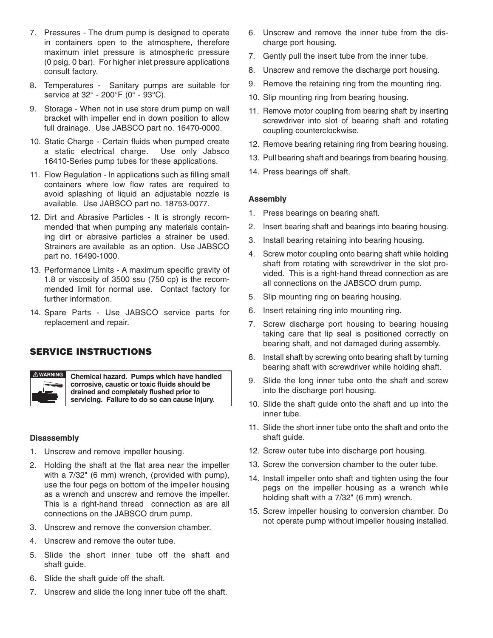- 7. Pressures The drum pump is designed to operate in containers open to the atmosphere, therefore maximum inlet pressure is atmospheric pressure (0 psig, 0 bar). For higher inlet pressure applications consult factory.
- 8. Temperatures Sanitary pumps are suitable for service at 32° - 200°F (0° - 93°C).
- 9. Storage When not in use store drum pump on wall bracket with impeller end in down position to allow full drainage. Use JABSCO part no. 16470-0000.
- 10. Static Charge Certain fluids when pumped create a static electrical charge. Use only Jabsco 16410-Series pump tubes for these applications.
- 11. Flow Regulation In applications such as filling small containers where low flow rates are required to avoid splashing of liquid an adjustable nozzle is available. Use JABSCO part no. 18753-0077.
- 12. Dirt and Abrasive Particles It is strongly recommended that when pumping any materials containing dirt or abrasive particles a strainer be used. Strainers are available as an option. Use JABSCO part no. 16490-1000.
- 13. Performance Limits A maximum specific gravity of 1.8 or viscosity of 3500 ssu (750 cp) is the recommended limit for normal use. Contact factory for further information.
- 14. Spare Parts Use JABSCO service parts for replacement and repair.

#### **SERVICE INSTRUCTIONS**



**Chemical hazard. Pumps which have handled corrosive, caustic or toxic fluids should be drained and completely flushed prior to servicing. Failure to do so can cause injury.**

#### **Disassembly**

- 1. Unscrew and remove impeller housing.
- 2. Holding the shaft at the flat area near the impeller with a 7/32" (6 mm) wrench, (provided with pump), use the four pegs on bottom of the impeller housing as a wrench and unscrew and remove the impeller. This is a right-hand thread connection as are all connections on the JABSCO drum pump.
- 3. Unscrew and remove the conversion chamber.
- 4. Unscrew and remove the outer tube.
- 5. Slide the short inner tube off the shaft and shaft guide.
- 6. Slide the shaft guide off the shaft.
- 7. Unscrew and slide the long inner tube off the shaft.
- 6. Unscrew and remove the inner tube from the discharge port housing.
- 7. Gently pull the insert tube from the inner tube.
- 8. Unscrew and remove the discharge port housing.
- 9. Remove the retaining ring from the mounting ring.
- 10. Slip mounting ring from bearing housing.
- 11. Remove motor coupling from bearing shaft by inserting screwdriver into slot of bearing shaft and rotating coupling counterclockwise.
- 12. Remove bearing retaining ring from bearing housing.
- 13. Pull bearing shaft and bearings from bearing housing.
- 14. Press bearings off shaft.

#### **Assembly**

- 1. Press bearings on bearing shaft.
- 2. Insert bearing shaft and bearings into bearing housing.
- 3. Install bearing retaining into bearing housing.
- 4. Screw motor coupling onto bearing shaft while holding shaft from rotating with screwdriver in the slot provided. This is a right-hand thread connection as are all connections on the JABSCO drum pump.
- 5. Slip mounting ring on bearing housing.
- 6. Insert retaining ring into mounting ring.
- 7. Screw discharge port housing to bearing housing taking care that lip seal is positioned correctly on bearing shaft, and not damaged during assembly.
- 8. Install shaft by screwing onto bearing shaft by turning bearing shaft with screwdriver while holding shaft.
- 9. Slide the long inner tube onto the shaft and screw into the discharge port housing.
- 10. Slide the shaft guide onto the shaft and up into the inner tube.
- 11. Slide the short inner tube onto the shaft and onto the shaft guide.
- 12. Screw outer tube into discharge port housing.
- 13. Screw the conversion chamber to the outer tube.
- 14. Install impeller onto shaft and tighten using the four pegs on the impeller housing as a wrench while holding shaft with a 7/32" (6 mm) wrench.
- 15. Screw impeller housing to conversion chamber. Do not operate pump without impeller housing installed.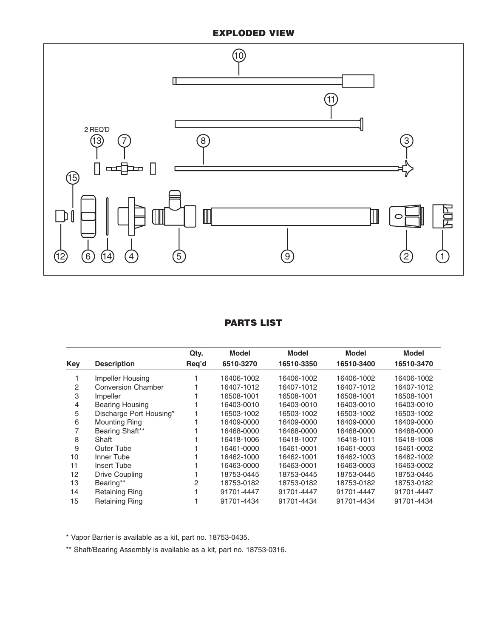## **EXPLODED VIEW**



## **PARTS LIST**

|     |                           | Qty.  | Model      | <b>Model</b> | Model      | <b>Model</b> |
|-----|---------------------------|-------|------------|--------------|------------|--------------|
| Key | <b>Description</b>        | Req'd | 6510-3270  | 16510-3350   | 16510-3400 | 16510-3470   |
|     | Impeller Housing          |       | 16406-1002 | 16406-1002   | 16406-1002 | 16406-1002   |
| 2   | <b>Conversion Chamber</b> |       | 16407-1012 | 16407-1012   | 16407-1012 | 16407-1012   |
| 3   | Impeller                  |       | 16508-1001 | 16508-1001   | 16508-1001 | 16508-1001   |
| 4   | <b>Bearing Housing</b>    |       | 16403-0010 | 16403-0010   | 16403-0010 | 16403-0010   |
| 5   | Discharge Port Housing*   |       | 16503-1002 | 16503-1002   | 16503-1002 | 16503-1002   |
| 6   | <b>Mounting Ring</b>      |       | 16409-0000 | 16409-0000   | 16409-0000 | 16409-0000   |
|     | Bearing Shaft**           |       | 16468-0000 | 16468-0000   | 16468-0000 | 16468-0000   |
| 8   | Shaft                     |       | 16418-1006 | 16418-1007   | 16418-1011 | 16418-1008   |
| 9   | <b>Outer Tube</b>         |       | 16461-0000 | 16461-0001   | 16461-0003 | 16461-0002   |
| 10  | Inner Tube                |       | 16462-1000 | 16462-1001   | 16462-1003 | 16462-1002   |
| 11  | Insert Tube               |       | 16463-0000 | 16463-0001   | 16463-0003 | 16463-0002   |
| 12  | Drive Coupling            |       | 18753-0445 | 18753-0445   | 18753-0445 | 18753-0445   |
| 13  | Bearing**                 | 2     | 18753-0182 | 18753-0182   | 18753-0182 | 18753-0182   |
| 14  | <b>Retaining Ring</b>     |       | 91701-4447 | 91701-4447   | 91701-4447 | 91701-4447   |
| 15  | <b>Retaining Ring</b>     |       | 91701-4434 | 91701-4434   | 91701-4434 | 91701-4434   |

\* Vapor Barrier is available as a kit, part no. 18753-0435.

\*\* Shaft/Bearing Assembly is available as a kit, part no. 18753-0316.